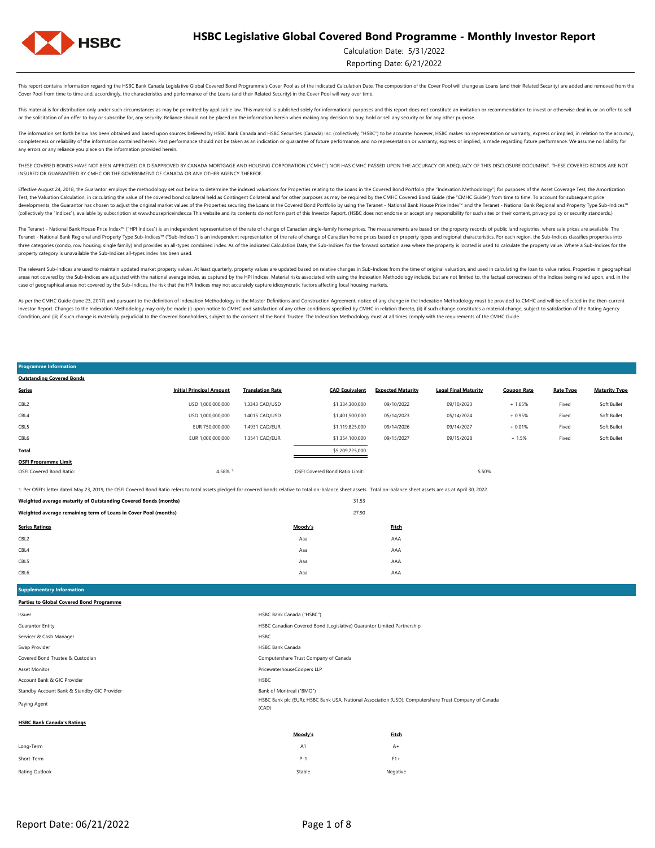

### Calculation Date: 5/31/2022

Reporting Date: 6/21/2022

This report contains information regarding the HSBC Bank Canada Legislative Global Covered Bond Programme's Cover Pool as of the indicated Calculation Date. The composition of the Cover Pool will change as Loans (and their Cover Pool from time to time and, accordingly, the characteristics and performance of the Loans (and their Related Security) in the Cover Pool will vary over time.

This material is for distribution only under such circumstances as may be permitted by applicable law. This material is published solely for informational purposes and this report does not constitute an invitation or recom or the solicitation of an offer to buy or subscribe for, any security. Reliance should not be placed on the information herein when making any decision to buy, hold or sell any security or for any other purpose.

The information set forth below has been obtained and based upon sources believed by HSBC Bank Canada and HSBC Securities (Canada) Inc. (collectively. "HSBC") to be accurate, however, HSBC makes no representation or warran completeness or reliability of the information contained herein. Past performance should not be taken as an indication or guarantee of future performance, and no representation or warranty, express or implied, is made rega any errors or any reliance you place on the information provided herein.

THESE COVERED BONDS HAVE NOT BEEN APPROVED OR DISAPPROVED BY CANADA MORTGAGE AND HOUSING CORPORATION ("CMHC") NOR HAS CMHC PASSED UPON THE ACCURACY OR ADEQUACY OF THIS DISCLOSURE DOCUMENT. THESE COVERED BONDS ARE NOT INSURED OR GUARANTEED BY CMHC OR THE GOVERNMENT OF CANADA OR ANY OTHER AGENCY THEREOF.

Effective August 24, 2018, the Guarantor employs the methodology set out below to determine the indexed valuations for Properties relating to the Loans in the Covered Bond Portfolio (the "Indexation Methodology") for purpo Test, the Valuation Calculation, in calculating the value of the covered bond collateral held as Contingent Collateral and for other purposes as may be required by the CMHC Covered Bond Guide (the "CMHC Guide") from time t developments, the Guarantor has chosen to adjust the original market values of the Properties securing the Loans in the Covered Bond Portfolio by using the Teranet - National Bank House Price Index<sup>nu</sup> and the Teranet - Na (collectively the "Indices"), available by subscription at www.housepriceindex.ca This website and its contents do not form part of this Investor Report. (HSBC does not endorse or accept any responsibility for such sites o

The Teranet - National Bank House Price Index<sup>na</sup> ("HPI Indices") is an independent representation of the rate of change of Canadian single-family home prices. The measurements are based on the property records of public l Teranet - National Bank Regional and Property Type Sub-Indices™ ("Sub-Indices") is an independent representation of the rate of change of Canadian home prices based on property types and regional characteristics. For each three categories (condo, row housing, single family) and provides an all-types combined index. As of the indicated Calculation Date, the Sub-Indices for the forward sortation area where the property is located is used to c property category is unavailable the Sub-Indices all-types index has been used.

The relevant Sub-Indices are used to maintain updated market property values. At least quarterly, property values are updated based on relative changes in Sub-Indices from the time of original valuation, and used in calcul areas not covered by the Sub-Indices are adjusted with the national average index, as captured by the HPI Indices. Material risks associated with using the Indivestion Methodology include, but are not limited to, the factu case of geographical areas not covered by the Sub-Indices, the risk that the HPI Indices may not accurately capture idiosyncratic factors affecting local housing markets.

As per the CMHC Guide (June 23, 2017) and pursuant to the definition of Indexation Methodology in the Master Definitions and Construction Agreement, notice of any change in the Indexation Methodology must be provided to CM Investor Report. Changes to the Indexation Methodology may only be made (i) upon notice to CMHC and satisfaction of any other conditions specified by CMHC in relation thereto, (ii) if such change constitutes a material cha Condition, and (iii) if such change is materially prejudicial to the Covered Bondholders, subject to the consent of the Bond Trustee. The Indexation Methodology must at all times comply with the requirements of the CMHC Gu

| <b>Programme Information</b>                                                                                                                                                                                             |                                 |                         |                                                                        |                          |                             |                    |                  |                      |
|--------------------------------------------------------------------------------------------------------------------------------------------------------------------------------------------------------------------------|---------------------------------|-------------------------|------------------------------------------------------------------------|--------------------------|-----------------------------|--------------------|------------------|----------------------|
| <b>Outstanding Covered Bonds</b>                                                                                                                                                                                         |                                 |                         |                                                                        |                          |                             |                    |                  |                      |
| <b>Series</b>                                                                                                                                                                                                            | <b>Initial Principal Amount</b> | <b>Translation Rate</b> | <b>CAD Equivalent</b>                                                  | <b>Expected Maturity</b> | <b>Legal Final Maturity</b> | <b>Coupon Rate</b> | <b>Rate Type</b> | <b>Maturity Type</b> |
| CBL <sub>2</sub>                                                                                                                                                                                                         | USD 1,000,000,000               | 1.3343 CAD/USD          | \$1,334,300,000                                                        | 09/10/2022               | 09/10/2023                  | $+ 1.65%$          | Fixed            | Soft Bullet          |
| CBL4                                                                                                                                                                                                                     | USD 1,000,000,000               | 1.4015 CAD/USD          | \$1,401,500,000                                                        | 05/14/2023               | 05/14/2024                  | $+0.95%$           | Fixed            | Soft Bullet          |
| CBL5                                                                                                                                                                                                                     | EUR 750,000,000                 | 1.4931 CAD/EUR          | \$1,119,825,000                                                        | 09/14/2026               | 09/14/2027                  | $+0.01%$           | Fixed            | Soft Bullet          |
| CBL6                                                                                                                                                                                                                     | EUR 1,000,000,000               | 1.3541 CAD/EUR          | \$1,354,100,000                                                        | 09/15/2027               | 09/15/2028                  | $+1.5%$            | Fixed            | Soft Bullet          |
| <b>Total</b>                                                                                                                                                                                                             |                                 |                         | \$5,209,725,000                                                        |                          |                             |                    |                  |                      |
| <b>OSFI Programme Limit</b>                                                                                                                                                                                              |                                 |                         |                                                                        |                          |                             |                    |                  |                      |
| OSFI Covered Bond Ratio:                                                                                                                                                                                                 | 4.58% 1                         |                         | OSFI Covered Bond Ratio Limit:                                         |                          | 5.50%                       |                    |                  |                      |
| 1. Per OSFI's letter dated May 23, 2019, the OSFI Covered Bond Ratio refers to total assets pledged for covered bonds relative to total on-balance sheet assets. Total on-balance sheet assets are as at April 30, 2022. |                                 |                         |                                                                        |                          |                             |                    |                  |                      |
| Weighted average maturity of Outstanding Covered Bonds (months)                                                                                                                                                          |                                 |                         | 31.53                                                                  |                          |                             |                    |                  |                      |
| Weighted average remaining term of Loans in Cover Pool (months)                                                                                                                                                          |                                 |                         | 27.90                                                                  |                          |                             |                    |                  |                      |
| <b>Series Ratings</b>                                                                                                                                                                                                    |                                 |                         | Moody's                                                                | <b>Fitch</b>             |                             |                    |                  |                      |
| CBL <sub>2</sub>                                                                                                                                                                                                         |                                 |                         | Aaa                                                                    | AAA                      |                             |                    |                  |                      |
| CBL4                                                                                                                                                                                                                     |                                 |                         | Aaa                                                                    | AAA                      |                             |                    |                  |                      |
| CBL5                                                                                                                                                                                                                     |                                 |                         | Aaa                                                                    | AAA                      |                             |                    |                  |                      |
| CBL6                                                                                                                                                                                                                     |                                 |                         | Aaa                                                                    | AAA                      |                             |                    |                  |                      |
|                                                                                                                                                                                                                          |                                 |                         |                                                                        |                          |                             |                    |                  |                      |
| <b>Supplementary Information</b>                                                                                                                                                                                         |                                 |                         |                                                                        |                          |                             |                    |                  |                      |
| <b>Parties to Global Covered Bond Programme</b>                                                                                                                                                                          |                                 |                         |                                                                        |                          |                             |                    |                  |                      |
| Issuer                                                                                                                                                                                                                   |                                 |                         | HSBC Bank Canada ("HSBC")                                              |                          |                             |                    |                  |                      |
| <b>Guarantor Entity</b>                                                                                                                                                                                                  |                                 |                         | HSBC Canadian Covered Bond (Legislative) Guarantor Limited Partnership |                          |                             |                    |                  |                      |
| Servicer & Cash Manager                                                                                                                                                                                                  |                                 | HSBC                    |                                                                        |                          |                             |                    |                  |                      |
| Swap Provider                                                                                                                                                                                                            |                                 | <b>HSBC Bank Canada</b> |                                                                        |                          |                             |                    |                  |                      |
| Covered Bond Trustee & Custodian                                                                                                                                                                                         |                                 |                         | Computershare Trust Company of Canada                                  |                          |                             |                    |                  |                      |
| Asset Monitor                                                                                                                                                                                                            |                                 |                         | PricewaterhouseCoopers LLP                                             |                          |                             |                    |                  |                      |

Standby Account Bank & Standby GIC Provider

Paying Agent

#### **HSBC Bank Canada's Ratings**

Account Bank & GIC Provider

|                | Moody's | <b>Fitch</b> |
|----------------|---------|--------------|
| Long-Term      | A1      | $A+$         |
| Short-Term     | $P-1$   | $F1+$        |
| Rating Outlook | Stable  | Negative     |

HSBC

Bank of Montreal ("BMO")

(CAD)

HSBC Bank plc (EUR); HSBC Bank USA, National Association (USD); Computershare Trust Company of Canada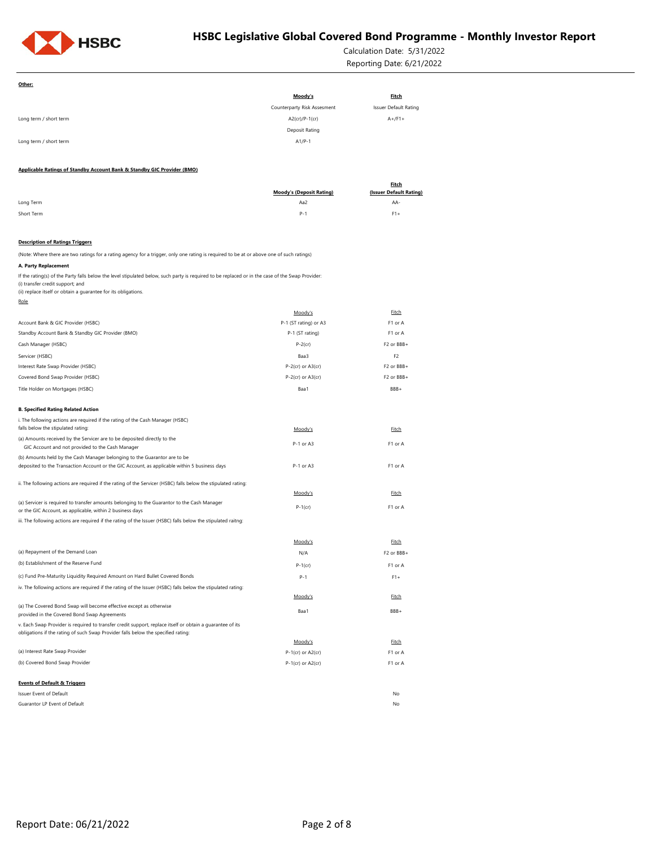

Calculation Date: 5/31/2022 Reporting Date: 6/21/2022

| Other:                                                                                                                                                                                                                                                 |                                 |                                         |
|--------------------------------------------------------------------------------------------------------------------------------------------------------------------------------------------------------------------------------------------------------|---------------------------------|-----------------------------------------|
|                                                                                                                                                                                                                                                        | Moody's                         | <b>Fitch</b>                            |
|                                                                                                                                                                                                                                                        | Counterparty Risk Assesment     | <b>Issuer Default Rating</b>            |
| Long term / short term                                                                                                                                                                                                                                 | A2(cr)/P-1(cr)                  | $A+$ /F1+                               |
|                                                                                                                                                                                                                                                        | Deposit Rating                  |                                         |
| Long term / short term                                                                                                                                                                                                                                 | $A1/P-1$                        |                                         |
|                                                                                                                                                                                                                                                        |                                 |                                         |
| Applicable Ratings of Standby Account Bank & Standby GIC Provider (BMO)                                                                                                                                                                                |                                 |                                         |
|                                                                                                                                                                                                                                                        | <b>Moody's (Deposit Rating)</b> | <b>Fitch</b><br>(Issuer Default Rating) |
| Long Term                                                                                                                                                                                                                                              | Aa2                             | AA-                                     |
| Short Term                                                                                                                                                                                                                                             | $P-1$                           | $F1+$                                   |
|                                                                                                                                                                                                                                                        |                                 |                                         |
| <b>Description of Ratings Triggers</b>                                                                                                                                                                                                                 |                                 |                                         |
| (Note: Where there are two ratings for a rating agency for a trigger, only one rating is required to be at or above one of such ratings)                                                                                                               |                                 |                                         |
| A. Party Replacement                                                                                                                                                                                                                                   |                                 |                                         |
| If the rating(s) of the Party falls below the level stipulated below, such party is required to be replaced or in the case of the Swap Provider:<br>(i) transfer credit support; and<br>(ii) replace itself or obtain a guarantee for its obligations. |                                 |                                         |
| Role                                                                                                                                                                                                                                                   |                                 |                                         |
|                                                                                                                                                                                                                                                        | Moody's                         | Fitch                                   |
| Account Bank & GIC Provider (HSBC)                                                                                                                                                                                                                     | P-1 (ST rating) or A3           | F1 or A                                 |
| Standby Account Bank & Standby GIC Provider (BMO)                                                                                                                                                                                                      | P-1 (ST rating)                 | F1 or A                                 |
| Cash Manager (HSBC)                                                                                                                                                                                                                                    | $P-2$ (cr)                      | F2 or BBB+                              |
| Servicer (HSBC)                                                                                                                                                                                                                                        | Baa3                            | F <sub>2</sub>                          |
| Interest Rate Swap Provider (HSBC)                                                                                                                                                                                                                     | $P-2$ (cr) or $A3$ (cr)         | F2 or BBB+                              |
| Covered Bond Swap Provider (HSBC)                                                                                                                                                                                                                      | $P-2$ (cr) or $A3$ (cr)         | F2 or BBB+                              |
| Title Holder on Mortgages (HSBC)                                                                                                                                                                                                                       | Baa1                            | BBB+                                    |
| <b>B. Specified Rating Related Action</b>                                                                                                                                                                                                              |                                 |                                         |
| i. The following actions are required if the rating of the Cash Manager (HSBC)                                                                                                                                                                         |                                 |                                         |
| falls below the stipulated rating:                                                                                                                                                                                                                     | Moody's                         | Eitch                                   |
| (a) Amounts received by the Servicer are to be deposited directly to the<br>GIC Account and not provided to the Cash Manager                                                                                                                           | P-1 or A3                       | F1 or A                                 |
| (b) Amounts held by the Cash Manager belonging to the Guarantor are to be                                                                                                                                                                              |                                 |                                         |
| deposited to the Transaction Account or the GIC Account, as applicable within 5 business days                                                                                                                                                          | P-1 or A3                       | F1 or A                                 |
| ii. The following actions are required if the rating of the Servicer (HSBC) falls below the stipulated rating:                                                                                                                                         |                                 |                                         |
|                                                                                                                                                                                                                                                        | Moody's                         | Fitch                                   |
| (a) Servicer is required to transfer amounts belonging to the Guarantor to the Cash Manager                                                                                                                                                            |                                 |                                         |
| or the GIC Account, as applicable, within 2 business days                                                                                                                                                                                              | $P-1$ (cr)                      | F1 or A                                 |
| iii. The following actions are required if the rating of the Issuer (HSBC) falls below the stipulated raitng:                                                                                                                                          |                                 |                                         |
|                                                                                                                                                                                                                                                        | Moody's                         | Fitch                                   |
| (a) Repayment of the Demand Loan                                                                                                                                                                                                                       | N/A                             | F2 or BBB+                              |
| (b) Establishment of the Reserve Fund                                                                                                                                                                                                                  |                                 | F1 or A                                 |
| (c) Fund Pre-Maturity Liquidity Required Amount on Hard Bullet Covered Bonds                                                                                                                                                                           | $P-1$ (cr)<br>$P - 1$           | $F1+$                                   |
| iv. The following actions are required if the rating of the Issuer (HSBC) falls below the stipulated rating:                                                                                                                                           |                                 |                                         |
|                                                                                                                                                                                                                                                        | Moody's                         | Fitch                                   |
| (a) The Covered Bond Swap will become effective except as otherwise<br>provided in the Covered Bond Swap Agreements                                                                                                                                    | Baa1                            | BBB+                                    |
| v. Each Swap Provider is required to transfer credit support, replace itself or obtain a quarantee of its                                                                                                                                              |                                 |                                         |
| obligations if the rating of such Swap Provider falls below the specified rating:                                                                                                                                                                      | Moody's                         | Fitch                                   |
| (a) Interest Rate Swap Provider                                                                                                                                                                                                                        | $P-1$ (cr) or A2(cr)            | F1 or A                                 |
| (b) Covered Bond Swap Provider                                                                                                                                                                                                                         | P-1(cr) or A2(cr)               | F1 or A                                 |
|                                                                                                                                                                                                                                                        |                                 |                                         |
| <b>Events of Default &amp; Triggers</b>                                                                                                                                                                                                                |                                 |                                         |
| Issuer Event of Default                                                                                                                                                                                                                                |                                 | No                                      |
| Guarantor LP Event of Default                                                                                                                                                                                                                          |                                 | No                                      |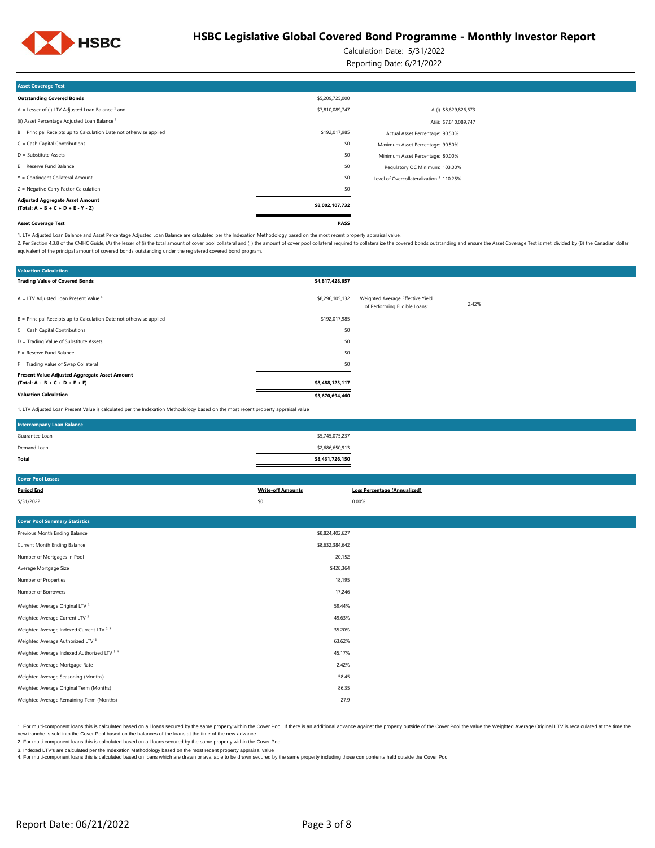

Calculation Date: 5/31/2022

Reporting Date: 6/21/2022

| <b>Asset Coverage Test</b>                                                     |                 |                                                     |  |
|--------------------------------------------------------------------------------|-----------------|-----------------------------------------------------|--|
| <b>Outstanding Covered Bonds</b>                                               | \$5,209,725,000 |                                                     |  |
| A = Lesser of (i) LTV Adjusted Loan Balance $1$ and                            | \$7,810,089,747 | A (i) \$8,629,826,673                               |  |
| (ii) Asset Percentage Adjusted Loan Balance <sup>1</sup>                       |                 | A(ii): \$7,810,089,747                              |  |
| B = Principal Receipts up to Calculation Date not otherwise applied            | \$192,017,985   | Actual Asset Percentage: 90.50%                     |  |
| $C = Cash Capital Contributions$                                               | \$0             | Maximum Asset Percentage: 90.50%                    |  |
| $D =$ Substitute Assets                                                        | \$0             | Minimum Asset Percentage: 80.00%                    |  |
| $E =$ Reserve Fund Balance                                                     | \$0             | Regulatory OC Minimum: 103.00%                      |  |
| Y = Contingent Collateral Amount                                               | \$0             | Level of Overcollateralization <sup>2</sup> 110.25% |  |
| Z = Negative Carry Factor Calculation                                          | \$0             |                                                     |  |
| <b>Adjusted Aggregate Asset Amount</b><br>$(Total: A + B + C + D + E - Y - Z)$ | \$8,002,107,732 |                                                     |  |
| <b>Asset Coverage Test</b>                                                     | PASS            |                                                     |  |

1. LTV Adjusted Loan Balance and Asset Percentage Adjusted Loan Balance are calculated per the Indexation Methodology based on the most recent property appraisal value.

2. Per Section 4.3.8 of the CMHC Guide, (A) the lesser of (i) the total amount of cover pool collateral and (ii) the amount of cover pool collateral required to collateral required to collateral required to collateralize t equivalent of the principal amount of covered bonds outstanding under the registered covered bond program.

| <b>Valuation Calculation</b>                                                                                                      |                 |                                                                   |       |
|-----------------------------------------------------------------------------------------------------------------------------------|-----------------|-------------------------------------------------------------------|-------|
| <b>Trading Value of Covered Bonds</b>                                                                                             | \$4,817,428,657 |                                                                   |       |
| $A = LTV$ Adjusted Loan Present Value $1$                                                                                         | \$8,296,105,132 | Weighted Average Effective Yield<br>of Performing Eligible Loans: | 2.42% |
| B = Principal Receipts up to Calculation Date not otherwise applied                                                               | \$192,017,985   |                                                                   |       |
| $C = Cash Capital Contributions$                                                                                                  | \$0             |                                                                   |       |
| D = Trading Value of Substitute Assets                                                                                            | \$0             |                                                                   |       |
| $E =$ Reserve Fund Balance                                                                                                        | \$0             |                                                                   |       |
| F = Trading Value of Swap Collateral                                                                                              | \$0             |                                                                   |       |
| Present Value Adjusted Aggregate Asset Amount                                                                                     |                 |                                                                   |       |
| $(Total: A + B + C + D + E + F)$                                                                                                  | \$8,488,123,117 |                                                                   |       |
| <b>Valuation Calculation</b>                                                                                                      | \$3,670,694,460 |                                                                   |       |
| 1. LTV Adjusted Loan Present Value is calculated per the Indexation Methodology based on the most recent property appraisal value |                 |                                                                   |       |

| <b>Intercompany Loan Balance</b> |                 |  |
|----------------------------------|-----------------|--|
| Guarantee Loan                   | \$5,745,075,237 |  |
| Demand Loan                      | \$2,686,650,913 |  |
| Total                            | \$8,431,726,150 |  |

| <b>Cover Pool Losses</b>                           |                          |                                     |
|----------------------------------------------------|--------------------------|-------------------------------------|
| <b>Period End</b>                                  | <b>Write-off Amounts</b> | <b>Loss Percentage (Annualized)</b> |
| 5/31/2022                                          | \$0                      | 0.00%                               |
|                                                    |                          |                                     |
| <b>Cover Pool Summary Statistics</b>               |                          |                                     |
| Previous Month Ending Balance                      | \$8,824,402,627          |                                     |
| Current Month Ending Balance                       | \$8,632,384,642          |                                     |
| Number of Mortgages in Pool                        | 20,152                   |                                     |
| Average Mortgage Size                              | \$428,364                |                                     |
| Number of Properties                               | 18,195                   |                                     |
| Number of Borrowers                                | 17,246                   |                                     |
| Weighted Average Original LTV <sup>1</sup>         | 59.44%                   |                                     |
| Weighted Average Current LTV <sup>2</sup>          | 49.63%                   |                                     |
| Weighted Average Indexed Current LTV <sup>23</sup> | 35.20%                   |                                     |
| Weighted Average Authorized LTV <sup>4</sup>       | 63.62%                   |                                     |
| Weighted Average Indexed Authorized LTV 3 4        | 45.17%                   |                                     |
| Weighted Average Mortgage Rate                     | 2.42%                    |                                     |

86.35

1. For multi-component loans this is calculated based on all loans secured by the same property within the Cover Pool. If there is an additional advance against the property outside of the Cover Pool. If we leave the Ume t

new tranche is sold into the Cover Pool based on the balances of the loans at the time of the new advance.

2. For multi-component loans this is calculated based on all loans secured by the same property within the Cover Pool

3. Indexed LTV's are calculated per the Indexation Methodology based on the most recent property appraisal value

Weighted Average Seasoning (Months) 58.45

Weighted Average Remaining Term (Months) 27.9

4. For multi-component loans this is calculated based on loans which are drawn or available to be drawn secured by the same property including those compontents held outside the Cover Pool

Weighted Average Original Term (Months)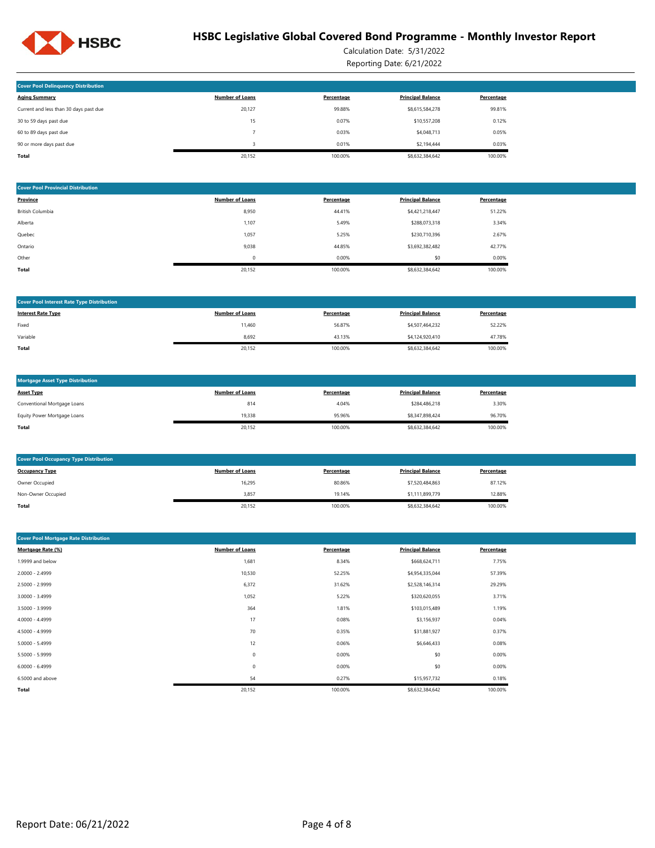

Calculation Date: 5/31/2022 Reporting Date: 6/21/2022

| <b>Cover Pool Delinquency Distribution</b> |                        |            |                          |            |
|--------------------------------------------|------------------------|------------|--------------------------|------------|
| <b>Aging Summary</b>                       | <b>Number of Loans</b> | Percentage | <b>Principal Balance</b> | Percentage |
| Current and less than 30 days past due     | 20.127                 | 99.88%     | \$8,615,584,278          | 99.81%     |
| 30 to 59 days past due                     | 15                     | 0.07%      | \$10,557,208             | 0.12%      |
| 60 to 89 days past due                     |                        | 0.03%      | \$4,048,713              | 0.05%      |
| 90 or more days past due                   |                        | 0.01%      | \$2,194,444              | 0.03%      |
| <b>Total</b>                               | 20.152                 | 100.00%    | \$8,632,384,642          | 100.00%    |

| <b>Cover Pool Provincial Distribution</b> |                        |            |                          |            |
|-------------------------------------------|------------------------|------------|--------------------------|------------|
| Province                                  | <b>Number of Loans</b> | Percentage | <b>Principal Balance</b> | Percentage |
| British Columbia                          | 8,950                  | 44.41%     | \$4,421,218,447          | 51.22%     |
| Alberta                                   | 1,107                  | 5.49%      | \$288,073,318            | 3.34%      |
| Quebec                                    | 1,057                  | 5.25%      | \$230,710,396            | 2.67%      |
| Ontario                                   | 9,038                  | 44.85%     | \$3,692,382,482          | 42.77%     |
| Other                                     | $\mathbf 0$            | 0.00%      | \$0                      | 0.00%      |
| Total                                     | 20,152                 | 100.00%    | \$8,632,384,642          | 100.00%    |

| <b>Cover Pool Interest Rate Type Distribution</b> |                        |            |                          |            |
|---------------------------------------------------|------------------------|------------|--------------------------|------------|
| <b>Interest Rate Type</b>                         | <b>Number of Loans</b> | Percentage | <b>Principal Balance</b> | Percentage |
| Fixed                                             | 11,460                 | 56.87%     | \$4,507,464,232          | 52.22%     |
| Variable                                          | 8,692                  | 43.13%     | \$4,124,920,410          | 47.78%     |
| Total                                             | 20,152                 | 100.00%    | \$8,632,384,642          | 100.00%    |

| <b>Mortgage Asset Type Distribution</b> |                        |            |                          |            |
|-----------------------------------------|------------------------|------------|--------------------------|------------|
| <b>Asset Type</b>                       | <b>Number of Loans</b> | Percentage | <b>Principal Balance</b> | Percentage |
| Conventional Mortgage Loans             | 814                    | 4.04%      | \$284.486.218            | 3.30%      |
| Equity Power Mortgage Loans             | 19.338                 | 95.96%     | \$8,347,898,424          | 96.70%     |
| Total                                   | 20,152                 | 100.00%    | \$8,632,384,642          | 100.00%    |

| <b>Cover Pool Occupancy Type Distribution</b> |                        |            |                          |            |
|-----------------------------------------------|------------------------|------------|--------------------------|------------|
| <b>Occupancy Type</b>                         | <b>Number of Loans</b> | Percentage | <b>Principal Balance</b> | Percentage |
| Owner Occupied                                | 16,295                 | 80.86%     | \$7,520,484,863          | 87.12%     |
| Non-Owner Occupied                            | 3,857                  | 19.14%     | \$1,111,899,779          | 12.88%     |
| Total                                         | 20,152                 | 100.00%    | \$8,632,384,642          | 100.00%    |

| <b>Cover Pool Mortgage Rate Distribution</b> |                        |            |                          |            |  |  |  |
|----------------------------------------------|------------------------|------------|--------------------------|------------|--|--|--|
| Mortgage Rate (%)                            | <b>Number of Loans</b> | Percentage | <b>Principal Balance</b> | Percentage |  |  |  |
| 1.9999 and below                             | 1,681                  | 8.34%      | \$668,624,711            | 7.75%      |  |  |  |
| $2.0000 - 2.4999$                            | 10,530                 | 52.25%     | \$4,954,335,044          | 57.39%     |  |  |  |
| 2.5000 - 2.9999                              | 6,372                  | 31.62%     | \$2,528,146,314          | 29.29%     |  |  |  |
| $3.0000 - 3.4999$                            | 1,052                  | 5.22%      | \$320,620,055            | 3.71%      |  |  |  |
| 3.5000 - 3.9999                              | 364                    | 1.81%      | \$103,015,489            | 1.19%      |  |  |  |
| 4.0000 - 4.4999                              | 17                     | 0.08%      | \$3,156,937              | 0.04%      |  |  |  |
| 4.5000 - 4.9999                              | 70                     | 0.35%      | \$31,881,927             | 0.37%      |  |  |  |
| $5.0000 - 5.4999$                            | 12                     | 0.06%      | \$6,646,433              | 0.08%      |  |  |  |
| 5.5000 - 5.9999                              | $\mathbb O$            | 0.00%      | \$0                      | 0.00%      |  |  |  |
| $6.0000 - 6.4999$                            | $\mathbb O$            | 0.00%      | \$0                      | 0.00%      |  |  |  |
| 6.5000 and above                             | 54                     | 0.27%      | \$15,957,732             | 0.18%      |  |  |  |
| Total                                        | 20,152                 | 100.00%    | \$8,632,384,642          | 100.00%    |  |  |  |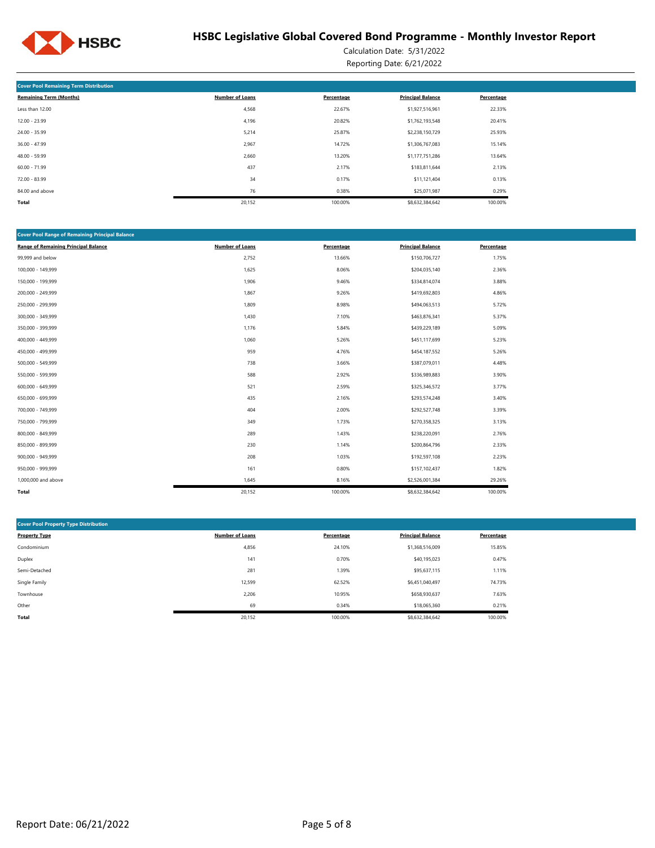

Calculation Date: 5/31/2022 Reporting Date: 6/21/2022

| <b>Cover Pool Remaining Term Distribution</b> |                        |            |                          |            |  |  |  |  |
|-----------------------------------------------|------------------------|------------|--------------------------|------------|--|--|--|--|
| <b>Remaining Term (Months)</b>                | <b>Number of Loans</b> | Percentage | <b>Principal Balance</b> | Percentage |  |  |  |  |
| Less than 12.00                               | 4,568                  | 22.67%     | \$1,927,516,961          | 22.33%     |  |  |  |  |
| $12.00 - 23.99$                               | 4,196                  | 20.82%     | \$1,762,193,548          | 20.41%     |  |  |  |  |
| 24.00 - 35.99                                 | 5,214                  | 25.87%     | \$2,238,150,729          | 25.93%     |  |  |  |  |
| $36.00 - 47.99$                               | 2,967                  | 14.72%     | \$1,306,767,083          | 15.14%     |  |  |  |  |
| 48.00 - 59.99                                 | 2,660                  | 13.20%     | \$1,177,751,286          | 13.64%     |  |  |  |  |
| $60.00 - 71.99$                               | 437                    | 2.17%      | \$183,811,644            | 2.13%      |  |  |  |  |
| $72.00 - 83.99$                               | 34                     | 0.17%      | \$11,121,404             | 0.13%      |  |  |  |  |
| 84.00 and above                               | 76                     | 0.38%      | \$25,071,987             | 0.29%      |  |  |  |  |
| Total                                         | 20,152                 | 100.00%    | \$8,632,384,642          | 100.00%    |  |  |  |  |

| <b>Cover Pool Range of Remaining Principal Balance</b> |                        |            |                          |            |  |  |  |  |  |
|--------------------------------------------------------|------------------------|------------|--------------------------|------------|--|--|--|--|--|
| <b>Range of Remaining Principal Balance</b>            | <b>Number of Loans</b> | Percentage | <b>Principal Balance</b> | Percentage |  |  |  |  |  |
| 99,999 and below                                       | 2,752                  | 13.66%     | \$150,706,727            | 1.75%      |  |  |  |  |  |
| 100,000 - 149,999                                      | 1,625                  | 8.06%      | \$204,035,140            | 2.36%      |  |  |  |  |  |
| 150,000 - 199,999                                      | 1,906                  | 9.46%      | \$334,814,074            | 3.88%      |  |  |  |  |  |
| 200,000 - 249,999                                      | 1,867                  | 9.26%      | \$419,692,803            | 4.86%      |  |  |  |  |  |
| 250,000 - 299,999                                      | 1,809                  | 8.98%      | \$494,063,513            | 5.72%      |  |  |  |  |  |
| 300,000 - 349,999                                      | 1,430                  | 7.10%      | \$463,876,341            | 5.37%      |  |  |  |  |  |
| 350,000 - 399,999                                      | 1,176                  | 5.84%      | \$439,229,189            | 5.09%      |  |  |  |  |  |
| 400,000 - 449,999                                      | 1,060                  | 5.26%      | \$451,117,699            | 5.23%      |  |  |  |  |  |
| 450,000 - 499,999                                      | 959                    | 4.76%      | \$454,187,552            | 5.26%      |  |  |  |  |  |
| 500,000 - 549,999                                      | 738                    | 3.66%      | \$387,079,011            | 4.48%      |  |  |  |  |  |
| 550,000 - 599,999                                      | 588                    | 2.92%      | \$336,989,883            | 3.90%      |  |  |  |  |  |
| 600,000 - 649,999                                      | 521                    | 2.59%      | \$325,346,572            | 3.77%      |  |  |  |  |  |
| 650,000 - 699,999                                      | 435                    | 2.16%      | \$293,574,248            | 3.40%      |  |  |  |  |  |
| 700,000 - 749,999                                      | 404                    | 2.00%      | \$292,527,748            | 3.39%      |  |  |  |  |  |
| 750,000 - 799,999                                      | 349                    | 1.73%      | \$270,358,325            | 3.13%      |  |  |  |  |  |
| 800,000 - 849,999                                      | 289                    | 1.43%      | \$238,220,091            | 2.76%      |  |  |  |  |  |
| 850,000 - 899,999                                      | 230                    | 1.14%      | \$200,864,796            | 2.33%      |  |  |  |  |  |
| 900,000 - 949,999                                      | 208                    | 1.03%      | \$192,597,108            | 2.23%      |  |  |  |  |  |
| 950,000 - 999,999                                      | 161                    | 0.80%      | \$157,102,437            | 1.82%      |  |  |  |  |  |
| 1,000,000 and above                                    | 1,645                  | 8.16%      | \$2,526,001,384          | 29.26%     |  |  |  |  |  |
| Total                                                  | 20,152                 | 100.00%    | \$8,632,384,642          | 100.00%    |  |  |  |  |  |

| <b>Cover Pool Property Type Distribution</b> |                        |            |                          |            |  |  |  |  |  |
|----------------------------------------------|------------------------|------------|--------------------------|------------|--|--|--|--|--|
| <b>Property Type</b>                         | <b>Number of Loans</b> | Percentage | <b>Principal Balance</b> | Percentage |  |  |  |  |  |
| Condominium                                  | 4,856                  | 24.10%     | \$1,368,516,009          | 15.85%     |  |  |  |  |  |
| Duplex                                       | 141                    | 0.70%      | \$40,195,023             | 0.47%      |  |  |  |  |  |
| Semi-Detached                                | 281                    | 1.39%      | \$95,637,115             | 1.11%      |  |  |  |  |  |
| Single Family                                | 12,599                 | 62.52%     | \$6,451,040,497          | 74.73%     |  |  |  |  |  |
| Townhouse                                    | 2,206                  | 10.95%     | \$658,930,637            | 7.63%      |  |  |  |  |  |
| Other                                        | 69                     | 0.34%      | \$18,065,360             | 0.21%      |  |  |  |  |  |
| Total                                        | 20,152                 | 100.00%    | \$8,632,384,642          | 100.00%    |  |  |  |  |  |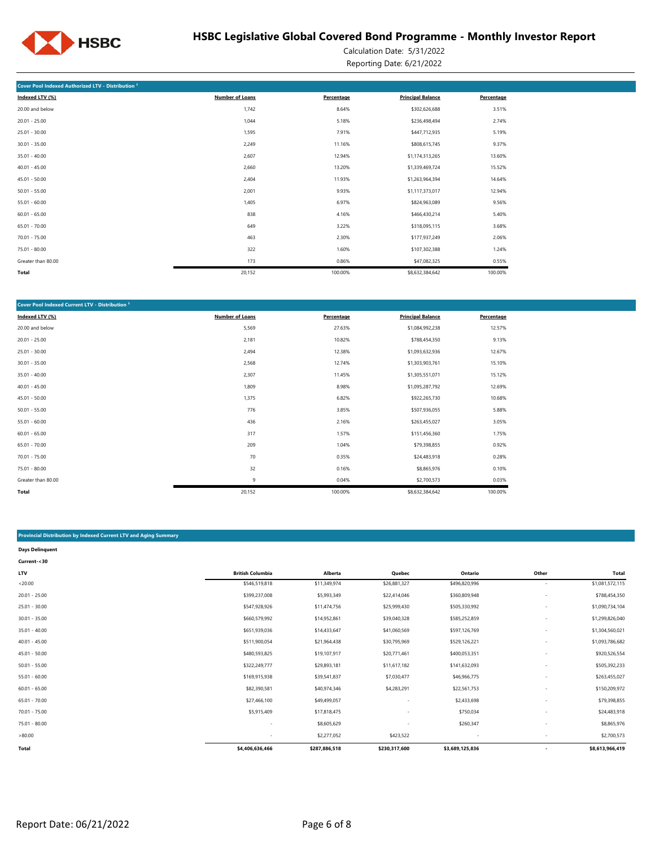

Calculation Date: 5/31/2022 Reporting Date: 6/21/2022

| Cover Pool Indexed Authorized LTV - Distribution <sup>1</sup> |                        |            |                          |            |  |  |  |  |  |
|---------------------------------------------------------------|------------------------|------------|--------------------------|------------|--|--|--|--|--|
| Indexed LTV (%)                                               | <b>Number of Loans</b> | Percentage | <b>Principal Balance</b> | Percentage |  |  |  |  |  |
| 20.00 and below                                               | 1,742                  | 8.64%      | \$302,626,688            | 3.51%      |  |  |  |  |  |
| $20.01 - 25.00$                                               | 1,044                  | 5.18%      | \$236,498,494            | 2.74%      |  |  |  |  |  |
| $25.01 - 30.00$                                               | 1,595                  | 7.91%      | \$447,712,935            | 5.19%      |  |  |  |  |  |
| $30.01 - 35.00$                                               | 2,249                  | 11.16%     | \$808,615,745            | 9.37%      |  |  |  |  |  |
| $35.01 - 40.00$                                               | 2,607                  | 12.94%     | \$1,174,313,265          | 13.60%     |  |  |  |  |  |
| $40.01 - 45.00$                                               | 2,660                  | 13.20%     | \$1,339,469,724          | 15.52%     |  |  |  |  |  |
| $45.01 - 50.00$                                               | 2,404                  | 11.93%     | \$1,263,964,394          | 14.64%     |  |  |  |  |  |
| $50.01 - 55.00$                                               | 2,001                  | 9.93%      | \$1,117,373,017          | 12.94%     |  |  |  |  |  |
| $55.01 - 60.00$                                               | 1,405                  | 6.97%      | \$824,963,089            | 9.56%      |  |  |  |  |  |
| $60.01 - 65.00$                                               | 838                    | 4.16%      | \$466,430,214            | 5.40%      |  |  |  |  |  |
| $65.01 - 70.00$                                               | 649                    | 3.22%      | \$318,095,115            | 3.68%      |  |  |  |  |  |
| $70.01 - 75.00$                                               | 463                    | 2.30%      | \$177,937,249            | 2.06%      |  |  |  |  |  |
| 75.01 - 80.00                                                 | 322                    | 1.60%      | \$107,302,388            | 1.24%      |  |  |  |  |  |
| Greater than 80.00                                            | 173                    | 0.86%      | \$47,082,325             | 0.55%      |  |  |  |  |  |
| Total                                                         | 20,152                 | 100.00%    | \$8,632,384,642          | 100.00%    |  |  |  |  |  |

| Cover Pool Indexed Current LTV - Distribution <sup>1</sup> |                        |            |                          |            |
|------------------------------------------------------------|------------------------|------------|--------------------------|------------|
| Indexed LTV (%)                                            | <b>Number of Loans</b> | Percentage | <b>Principal Balance</b> | Percentage |
| 20.00 and below                                            | 5,569                  | 27.63%     | \$1,084,992,238          | 12.57%     |
| $20.01 - 25.00$                                            | 2,181                  | 10.82%     | \$788,454,350            | 9.13%      |
| $25.01 - 30.00$                                            | 2,494                  | 12.38%     | \$1,093,632,936          | 12.67%     |
| $30.01 - 35.00$                                            | 2,568                  | 12.74%     | \$1,303,903,761          | 15.10%     |
| $35.01 - 40.00$                                            | 2,307                  | 11.45%     | \$1,305,551,071          | 15.12%     |
| $40.01 - 45.00$                                            | 1,809                  | 8.98%      | \$1,095,287,792          | 12.69%     |
| $45.01 - 50.00$                                            | 1,375                  | 6.82%      | \$922,265,730            | 10.68%     |
| $50.01 - 55.00$                                            | 776                    | 3.85%      | \$507,936,055            | 5.88%      |
| $55.01 - 60.00$                                            | 436                    | 2.16%      | \$263,455,027            | 3.05%      |
| $60.01 - 65.00$                                            | 317                    | 1.57%      | \$151,456,360            | 1.75%      |
| $65.01 - 70.00$                                            | 209                    | 1.04%      | \$79,398,855             | 0.92%      |
| $70.01 - 75.00$                                            | 70                     | 0.35%      | \$24,483,918             | 0.28%      |
| 75.01 - 80.00                                              | 32                     | 0.16%      | \$8,865,976              | 0.10%      |
| Greater than 80.00                                         | 9                      | 0.04%      | \$2,700,573              | 0.03%      |
| Total                                                      | 20,152                 | 100.00%    | \$8,632,384,642          | 100.00%    |

#### **Provincial Distribution by Indexed Current LTV and Aging Summary**

| <b>Days Delinquent</b> |                         |               |                          |                 |                          |                 |
|------------------------|-------------------------|---------------|--------------------------|-----------------|--------------------------|-----------------|
| Current-<30            |                         |               |                          |                 |                          |                 |
| LTV                    | <b>British Columbia</b> | Alberta       | Quebec                   | Ontario         | Other                    | Total           |
| < 20.00                | \$546,519,818           | \$11,349,974  | \$26,881,327             | \$496,820,996   | $\sim$                   | \$1,081,572,115 |
| $20.01 - 25.00$        | \$399,237,008           | \$5,993,349   | \$22,414,046             | \$360,809,948   | $\overline{\phantom{a}}$ | \$788,454,350   |
| $25.01 - 30.00$        | \$547,928,926           | \$11,474,756  | \$25,999,430             | \$505,330,992   | $\sim$                   | \$1,090,734,104 |
| $30.01 - 35.00$        | \$660,579,992           | \$14,952,861  | \$39,040,328             | \$585,252,859   | $\overline{\phantom{a}}$ | \$1,299,826,040 |
| $35.01 - 40.00$        | \$651,939,036           | \$14,433,647  | \$41,060,569             | \$597,126,769   |                          | \$1,304,560,021 |
| $40.01 - 45.00$        | \$511,900,054           | \$21,964,438  | \$30,795,969             | \$529,126,221   | $\overline{\phantom{a}}$ | \$1,093,786,682 |
| $45.01 - 50.00$        | \$480,593,825           | \$19,107,917  | \$20,771,461             | \$400,053,351   |                          | \$920,526,554   |
| $50.01 - 55.00$        | \$322,249,777           | \$29,893,181  | \$11,617,182             | \$141,632,093   |                          | \$505,392,233   |
| $55.01 - 60.00$        | \$169,915,938           | \$39,541,837  | \$7,030,477              | \$46,966,775    | $\overline{\phantom{a}}$ | \$263,455,027   |
| $60.01 - 65.00$        | \$82,390,581            | \$40,974,346  | \$4,283,291              | \$22,561,753    |                          | \$150,209,972   |
| $65.01 - 70.00$        | \$27,466,100            | \$49,499,057  | ٠                        | \$2,433,698     |                          | \$79,398,855    |
| $70.01 - 75.00$        | \$5,915,409             | \$17,818,475  | $\overline{\phantom{a}}$ | \$750,034       | $\overline{\phantom{a}}$ | \$24,483,918    |
| $75.01 - 80.00$        | ٠                       | \$8,605,629   |                          | \$260,347       | $\overline{\phantom{a}}$ | \$8,865,976     |
| >80.00                 |                         | \$2,277,052   | \$423,522                |                 |                          | \$2,700,573     |
| Total                  | \$4,406,636,466         | \$287,886,518 | \$230,317,600            | \$3,689,125,836 |                          | \$8,613,966,419 |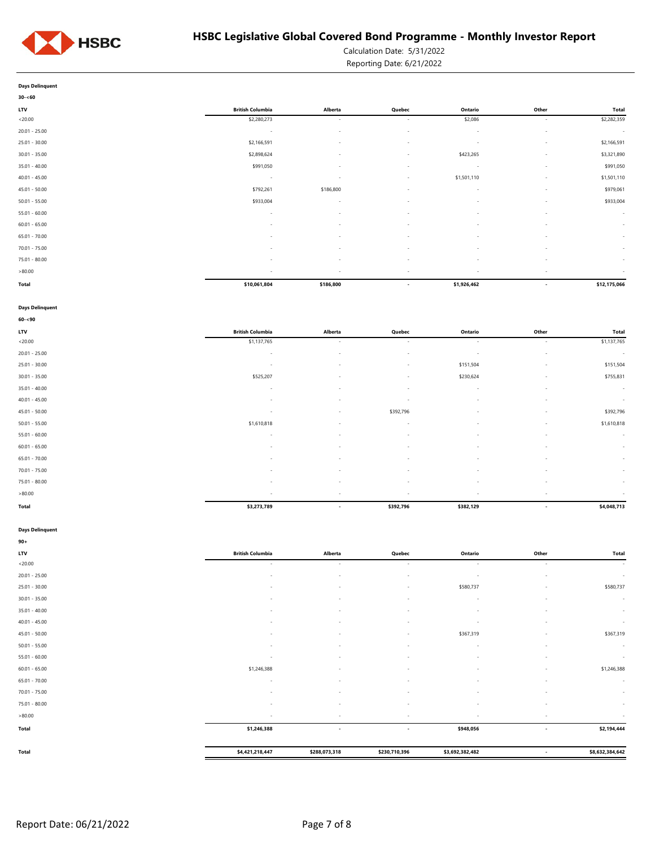

Calculation Date: 5/31/2022

Reporting Date: 6/21/2022

| $30 - 60$       |                          |                          |                          |             |                          |                          |
|-----------------|--------------------------|--------------------------|--------------------------|-------------|--------------------------|--------------------------|
| LTV             | <b>British Columbia</b>  | Alberta                  | Quebec                   | Ontario     | Other                    | Total                    |
| < 20.00         | \$2,280,273              | $\sim$                   | $\sim$                   | \$2,086     | $\overline{\phantom{a}}$ | \$2,282,359              |
| $20.01 - 25.00$ | $\sim$                   | $\overline{\phantom{a}}$ | $\sim$                   | $\sim$      | $\sim$                   | $\sim$                   |
| $25.01 - 30.00$ | \$2,166,591              | $\sim$                   | $\sim$                   | $\sim$      | $\sim$                   | \$2,166,591              |
| $30.01 - 35.00$ | \$2,898,624              | $\overline{\phantom{a}}$ | $\sim$                   | \$423,265   | $\sim$                   | \$3,321,890              |
| $35.01 - 40.00$ | \$991,050                | $\sim$                   | $\sim$                   | $\sim$      | $\sim$                   | \$991,050                |
| $40.01 - 45.00$ | $\overline{\phantom{a}}$ | $\overline{\phantom{a}}$ | $\sim$                   | \$1,501,110 | $\sim$                   | \$1,501,110              |
| $45.01 - 50.00$ | \$792,261                | \$186,800                | $\sim$                   | $\sim$      | $\sim$                   | \$979,061                |
| $50.01 - 55.00$ | \$933,004                | $\sim$                   | $\sim$                   | $\sim$      | $\overline{\phantom{a}}$ | \$933,004                |
| $55.01 - 60.00$ | $\overline{\phantom{a}}$ | $\sim$                   | $\sim$                   | $\sim$      | $\sim$                   | $\sim$                   |
| $60.01 - 65.00$ | $\sim$                   | $\sim$                   | $\sim$                   | . п.        | $\overline{\phantom{a}}$ | $\sim$                   |
| $65.01 - 70.00$ | ۰                        |                          | $\overline{\phantom{a}}$ |             | $\sim$                   | $\overline{\phantom{a}}$ |
| $70.01 - 75.00$ |                          |                          | $\sim$                   |             | ٠                        | $\sim$                   |
| $75.01 - 80.00$ | ٠                        | $\sim$                   | $\sim$                   | $\sim$      | $\sim$                   | $\sim$                   |
| >80.00          | $\overline{\phantom{a}}$ | $\sim$                   | $\sim$                   | $\sim$      | $\sim$                   | $\sim$                   |
| Total           | \$10,061,804             | \$186,800                | $\overline{\phantom{a}}$ | \$1,926,462 | $\overline{\phantom{a}}$ | \$12,175,066             |

#### **Days Delinquent**

| $60 - 90$       |                          |                          |                          |           |                          |              |
|-----------------|--------------------------|--------------------------|--------------------------|-----------|--------------------------|--------------|
| <b>LTV</b>      | <b>British Columbia</b>  | Alberta                  | Quebec                   | Ontario   | Other                    | <b>Total</b> |
| < 20.00         | \$1,137,765              | $\sim$                   | $\sim$                   | $\sim$    | $\sim$                   | \$1,137,765  |
| $20.01 - 25.00$ | $\sim$                   | $\sim$                   | $\sim$                   | $\sim$    | $\sim$                   | $\sim$       |
| $25.01 - 30.00$ | ٠                        | $\sim$                   | $\sim$                   | \$151,504 | $\overline{\phantom{a}}$ | \$151,504    |
| $30.01 - 35.00$ | \$525,207                | $\sim$                   | $\sim$                   | \$230,624 | $\overline{\phantom{a}}$ | \$755,831    |
| $35.01 - 40.00$ | ٠                        | $\sim$                   | $\sim$                   | $\sim$    | $\sim$                   | $\sim$       |
| $40.01 - 45.00$ | ٠                        | $\sim$                   | $\sim$                   | $\sim$    | $\overline{\phantom{a}}$ | $\sim$       |
| $45.01 - 50.00$ | $\overline{\phantom{a}}$ | $\sim$                   | \$392,796                | $\sim$    | $\sim$                   | \$392,796    |
| $50.01 - 55.00$ | \$1,610,818              | $\sim$                   | $\sim$                   | $\sim$    | $\overline{\phantom{a}}$ | \$1,610,818  |
| $55.01 - 60.00$ | ٠                        | $\overline{\phantom{a}}$ | $\overline{\phantom{a}}$ | $\sim$    | $\overline{\phantom{a}}$ | $\sim$       |
| $60.01 - 65.00$ | ٠                        | $\sim$                   | $\sim$                   | и.        | $\overline{\phantom{a}}$ | $\sim$       |
| $65.01 - 70.00$ | ٠                        | $\sim$                   | $\overline{\phantom{a}}$ | $\sim$    | $\overline{\phantom{a}}$ | $\sim$       |
| $70.01 - 75.00$ | ٠                        | $\sim$                   | $\overline{\phantom{a}}$ | и.        | $\overline{\phantom{a}}$ | $\sim$       |
| 75.01 - 80.00   | ٠                        | $\sim$                   | $\sim$                   | $\sim$    | $\overline{\phantom{a}}$ | $\sim$       |
| >80.00          | ٠                        | $\sim$                   | $\overline{\phantom{a}}$ | ۰         | $\overline{\phantom{a}}$ | $\sim$       |
| Total           | \$3,273,789              | $\overline{\phantom{a}}$ | \$392,796                | \$382,129 | $\overline{\phantom{a}}$ | \$4,048,713  |

## **Days Delinquent**

| $90+$           |                         |                          |                          |                          |                          |                 |
|-----------------|-------------------------|--------------------------|--------------------------|--------------------------|--------------------------|-----------------|
| LTV             | <b>British Columbia</b> | Alberta                  | Quebec                   | Ontario                  | Other                    | Total           |
| < 20.00         | $\sim$                  | $\sim$                   | $\sim$                   | $\sim$                   | $\sim$                   | $\sim$          |
| $20.01 - 25.00$ | $\sim$                  | $\overline{\phantom{a}}$ | $\sim$                   | $\sim$                   | $\overline{\phantom{a}}$ | $\sim$          |
| $25.01 - 30.00$ | $\sim$                  | $\overline{\phantom{a}}$ | ÷                        | \$580,737                | $\overline{\phantom{a}}$ | \$580,737       |
| $30.01 - 35.00$ | <b>.</b>                | $\overline{\phantom{a}}$ | $\sim$                   | $\sim$                   | $\overline{\phantom{a}}$ | $\sim$          |
| $35.01 - 40.00$ | $\sim$                  | $\overline{\phantom{a}}$ | $\sim$                   | $\sim$                   | $\overline{\phantom{a}}$ | $\sim$          |
| $40.01 - 45.00$ | $\sim$                  | $\overline{\phantom{a}}$ | $\overline{\phantom{a}}$ | $\overline{\phantom{a}}$ | $\sim$                   | $\sim$          |
| $45.01 - 50.00$ | $\sim$                  | $\overline{\phantom{a}}$ | $\sim$                   | \$367,319                | $\sim$                   | \$367,319       |
| $50.01 - 55.00$ | $\sim$                  | $\overline{\phantom{a}}$ | $\overline{\phantom{a}}$ | $\sim$                   | $\sim$                   | $\sim$          |
| $55.01 - 60.00$ | ٠                       | $\overline{\phantom{a}}$ |                          | ٠                        | $\overline{\phantom{a}}$ | $\sim$          |
| $60.01 - 65.00$ | \$1,246,388             | ٠                        |                          | ٠                        |                          | \$1,246,388     |
| $65.01 - 70.00$ | $\sim$                  | $\overline{\phantom{a}}$ | $\sim$                   | ٠                        | $\sim$                   | $\sim$          |
| $70.01 - 75.00$ | $\sim$                  | $\overline{\phantom{a}}$ | $\sim$                   | $\sim$                   | $\sim$                   | $\sim$          |
| $75.01 - 80.00$ | $\sim$                  | $\overline{\phantom{a}}$ | $\sim$                   | $\sim$                   | $\sim$                   | $\sim$          |
| >80.00          | $\sim$                  | $\overline{\phantom{a}}$ | $\sim$                   | $\overline{\phantom{a}}$ | $\sim$                   | $\sim$          |
| Total           | \$1,246,388             | $\overline{\phantom{a}}$ | $\overline{\phantom{a}}$ | \$948,056                | $\overline{\phantom{a}}$ | \$2,194,444     |
|                 |                         |                          |                          |                          |                          |                 |
| Total           | \$4,421,218,447         | \$288,073,318            | \$230,710,396            | \$3,692,382,482          | $\overline{\phantom{a}}$ | \$8,632,384,642 |